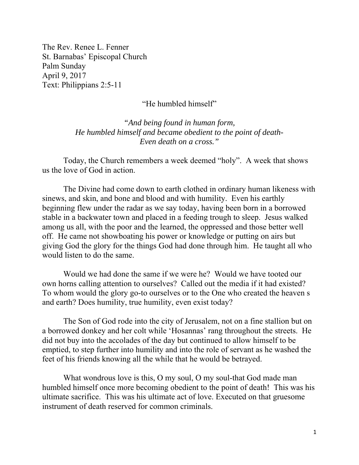The Rev. Renee L. Fenner St. Barnabas' Episcopal Church Palm Sunday April 9, 2017 Text: Philippians 2:5-11

"He humbled himself"

*"And being found in human form, He humbled himself and became obedient to the point of death-Even death on a cross."* 

 Today, the Church remembers a week deemed "holy". A week that shows us the love of God in action.

The Divine had come down to earth clothed in ordinary human likeness with sinews, and skin, and bone and blood and with humility. Even his earthly beginning flew under the radar as we say today, having been born in a borrowed stable in a backwater town and placed in a feeding trough to sleep. Jesus walked among us all, with the poor and the learned, the oppressed and those better well off. He came not showboating his power or knowledge or putting on airs but giving God the glory for the things God had done through him. He taught all who would listen to do the same.

 Would we had done the same if we were he? Would we have tooted our own horns calling attention to ourselves? Called out the media if it had existed? To whom would the glory go-to ourselves or to the One who created the heaven s and earth? Does humility, true humility, even exist today?

 The Son of God rode into the city of Jerusalem, not on a fine stallion but on a borrowed donkey and her colt while 'Hosannas' rang throughout the streets. He did not buy into the accolades of the day but continued to allow himself to be emptied, to step further into humility and into the role of servant as he washed the feet of his friends knowing all the while that he would be betrayed.

 What wondrous love is this, O my soul, O my soul-that God made man humbled himself once more becoming obedient to the point of death! This was his ultimate sacrifice. This was his ultimate act of love. Executed on that gruesome instrument of death reserved for common criminals.